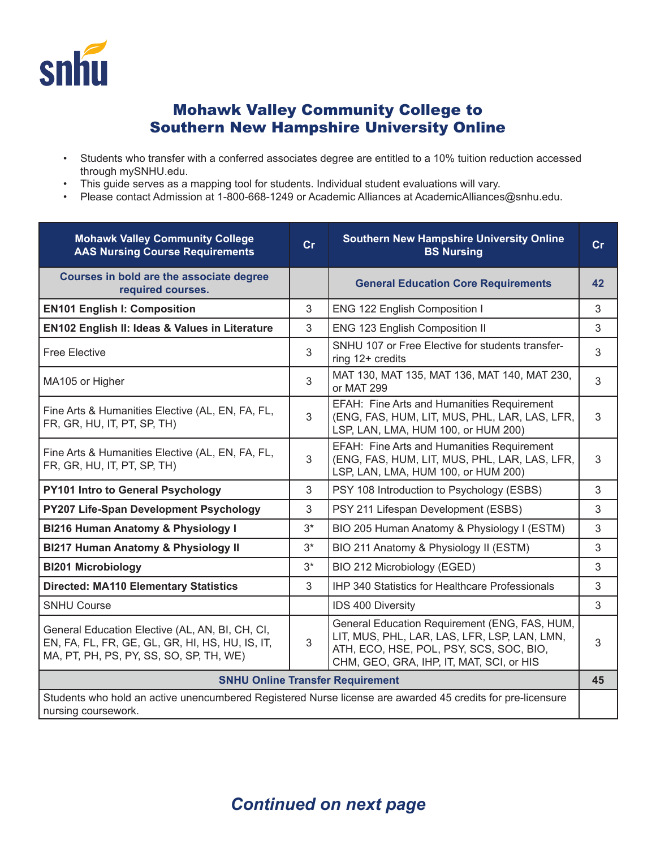

## Mohawk Valley Community College to Southern New Hampshire University Online

- Students who transfer with a conferred associates degree are entitled to a 10% tuition reduction accessed through mySNHU.edu.
- This guide serves as a mapping tool for students. Individual student evaluations will vary.
- Please contact Admission at 1-800-668-1249 or Academic Alliances at AcademicAlliances@snhu.edu.

| <b>Mohawk Valley Community College</b><br><b>AAS Nursing Course Requirements</b>                                                              | Cr    | <b>Southern New Hampshire University Online</b><br><b>BS Nursing</b>                                                                                                                 | Cr |
|-----------------------------------------------------------------------------------------------------------------------------------------------|-------|--------------------------------------------------------------------------------------------------------------------------------------------------------------------------------------|----|
| Courses in bold are the associate degree<br>required courses.                                                                                 |       | <b>General Education Core Requirements</b>                                                                                                                                           | 42 |
| <b>EN101 English I: Composition</b>                                                                                                           | 3     | ENG 122 English Composition I                                                                                                                                                        | 3  |
| EN102 English II: Ideas & Values in Literature                                                                                                | 3     | ENG 123 English Composition II                                                                                                                                                       | 3  |
| <b>Free Elective</b>                                                                                                                          | 3     | SNHU 107 or Free Elective for students transfer-<br>ring 12+ credits                                                                                                                 | 3  |
| MA105 or Higher                                                                                                                               | 3     | MAT 130, MAT 135, MAT 136, MAT 140, MAT 230,<br>or MAT 299                                                                                                                           | 3  |
| Fine Arts & Humanities Elective (AL, EN, FA, FL,<br>FR, GR, HU, IT, PT, SP, TH)                                                               | 3     | EFAH: Fine Arts and Humanities Requirement<br>(ENG, FAS, HUM, LIT, MUS, PHL, LAR, LAS, LFR,<br>LSP, LAN, LMA, HUM 100, or HUM 200)                                                   | 3  |
| Fine Arts & Humanities Elective (AL, EN, FA, FL,<br>FR, GR, HU, IT, PT, SP, TH)                                                               | 3     | EFAH: Fine Arts and Humanities Requirement<br>(ENG, FAS, HUM, LIT, MUS, PHL, LAR, LAS, LFR,<br>LSP, LAN, LMA, HUM 100, or HUM 200)                                                   | 3  |
| PY101 Intro to General Psychology                                                                                                             | 3     | PSY 108 Introduction to Psychology (ESBS)                                                                                                                                            | 3  |
| PY207 Life-Span Development Psychology                                                                                                        | 3     | PSY 211 Lifespan Development (ESBS)                                                                                                                                                  | 3  |
| BI216 Human Anatomy & Physiology I                                                                                                            | $3*$  | BIO 205 Human Anatomy & Physiology I (ESTM)                                                                                                                                          | 3  |
| <b>BI217 Human Anatomy &amp; Physiology II</b>                                                                                                | $3^*$ | BIO 211 Anatomy & Physiology II (ESTM)                                                                                                                                               | 3  |
| <b>BI201 Microbiology</b>                                                                                                                     | $3^*$ | BIO 212 Microbiology (EGED)                                                                                                                                                          | 3  |
| <b>Directed: MA110 Elementary Statistics</b>                                                                                                  | 3     | IHP 340 Statistics for Healthcare Professionals                                                                                                                                      | 3  |
| <b>SNHU Course</b>                                                                                                                            |       | IDS 400 Diversity                                                                                                                                                                    | 3  |
| General Education Elective (AL, AN, BI, CH, CI,<br>EN, FA, FL, FR, GE, GL, GR, HI, HS, HU, IS, IT,<br>MA, PT, PH, PS, PY, SS, SO, SP, TH, WE) | 3     | General Education Requirement (ENG, FAS, HUM,<br>LIT, MUS, PHL, LAR, LAS, LFR, LSP, LAN, LMN,<br>ATH, ECO, HSE, POL, PSY, SCS, SOC, BIO,<br>CHM, GEO, GRA, IHP, IT, MAT, SCI, or HIS | 3  |
| <b>SNHU Online Transfer Requirement</b>                                                                                                       |       |                                                                                                                                                                                      |    |
| Students who hold an active unencumbered Registered Nurse license are awarded 45 credits for pre-licensure<br>nursing coursework.             |       |                                                                                                                                                                                      |    |